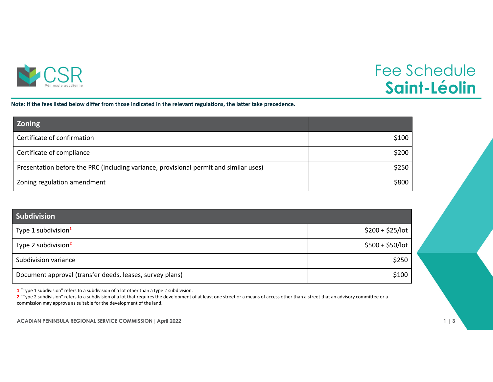

## Fee Schedule **Saint-Léolin**

Note: If the fees listed below differ from those indicated in the relevant regulations, the latter take precedence.

| <b>Zoning</b>                                                                         |       |
|---------------------------------------------------------------------------------------|-------|
| Certificate of confirmation                                                           | \$100 |
| Certificate of compliance                                                             | \$200 |
| Presentation before the PRC (including variance, provisional permit and similar uses) | \$250 |
| Zoning regulation amendment                                                           | \$800 |

| <b>Subdivision</b>                                       |                   |
|----------------------------------------------------------|-------------------|
| Type 1 subdivision <sup>1</sup>                          | $$200 + $25/$ lot |
| Type 2 subdivision <sup>2</sup>                          | $$500 + $50/$ lot |
| Subdivision variance                                     | \$250             |
| Document approval (transfer deeds, leases, survey plans) | \$100             |

**1** "Type 1 subdivision" refers to <sup>a</sup> subdivision of <sup>a</sup> lot other than <sup>a</sup> type 2 subdivision.

**2** "Type 2 subdivision" refers to <sup>a</sup> subdivision of <sup>a</sup> lot that requires the development of at least one street or <sup>a</sup> means of access other than <sup>a</sup> street that an advisory committee or <sup>a</sup> commission may approve as suitable for the development of the land.

**ACADIAN PENINSULA REGIONAL SERVICE COMMISSION| April 2022 1 | 3**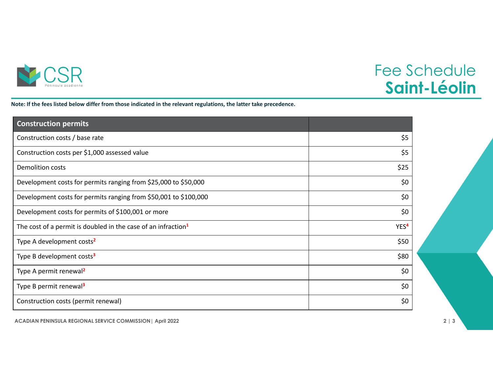

## Fee Schedule **Saint-Léolin**

Note: If the fees listed below differ from those indicated in the relevant regulations, the latter take precedence.

| <b>Construction permits</b>                                               |                  |
|---------------------------------------------------------------------------|------------------|
| Construction costs / base rate                                            | \$5              |
| Construction costs per \$1,000 assessed value                             | \$5              |
| <b>Demolition costs</b>                                                   | \$25             |
| Development costs for permits ranging from \$25,000 to \$50,000           | \$0              |
| Development costs for permits ranging from \$50,001 to \$100,000          | \$0              |
| Development costs for permits of \$100,001 or more                        | \$0              |
| The cost of a permit is doubled in the case of an infraction <sup>1</sup> | YES <sup>4</sup> |
| Type A development costs <sup>2</sup>                                     | \$50             |
| Type B development costs <sup>3</sup>                                     | \$80             |
| Type A permit renewal <sup>2</sup>                                        | \$0              |
| Type B permit renewal <sup>3</sup>                                        | \$0              |
| Construction costs (permit renewal)                                       | \$0              |

**ACADIAN PENINSULA REGIONAL SERVICE COMMISSION| April 2022 2 | 3**